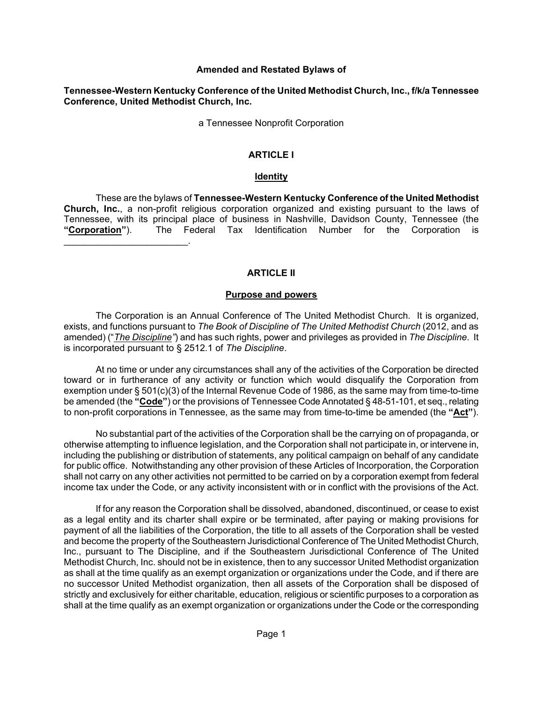#### **Amended and Restated Bylaws of**

#### **Tennessee-Western Kentucky Conference of the United Methodist Church, Inc., f/k/a Tennessee Conference, United Methodist Church, Inc.**

a Tennessee Nonprofit Corporation

#### **ARTICLE I**

#### **Identity**

These are the bylaws of **Tennessee-Western Kentucky Conference of the United Methodist Church, Inc.**, a non-profit religious corporation organized and existing pursuant to the laws of Tennessee, with its principal place of business in Nashville, Davidson County, Tennessee (the **"Corporation"**). The Federal Tax Identification Number for the Corporation is \_\_\_\_\_\_\_\_\_\_\_\_\_\_\_\_\_\_\_\_\_\_\_\_.

#### **ARTICLE II**

#### **Purpose and powers**

The Corporation is an Annual Conference of The United Methodist Church. It is organized, exists, and functions pursuant to *The Book of Discipline of The United Methodist Church* (2012, and as amended) ("*The Discipline"*) and has such rights, power and privileges as provided in *The Discipline*. It is incorporated pursuant to § 2512.1 of *The Discipline*.

At no time or under any circumstances shall any of the activities of the Corporation be directed toward or in furtherance of any activity or function which would disqualify the Corporation from exemption under § 501(c)(3) of the Internal Revenue Code of 1986, as the same may from time-to-time be amended (the **"Code"**) or the provisions of Tennessee Code Annotated § 48-51-101, et seq., relating to non-profit corporations in Tennessee, as the same may from time-to-time be amended (the **"Act"**).

No substantial part of the activities of the Corporation shall be the carrying on of propaganda, or otherwise attempting to influence legislation, and the Corporation shall not participate in, or intervene in, including the publishing or distribution of statements, any political campaign on behalf of any candidate for public office. Notwithstanding any other provision of these Articles of Incorporation, the Corporation shall not carry on any other activities not permitted to be carried on by a corporation exempt from federal income tax under the Code, or any activity inconsistent with or in conflict with the provisions of the Act.

If for any reason the Corporation shall be dissolved, abandoned, discontinued, or cease to exist as a legal entity and its charter shall expire or be terminated, after paying or making provisions for payment of all the liabilities of the Corporation, the title to all assets of the Corporation shall be vested and become the property of the Southeastern Jurisdictional Conference of The United Methodist Church, Inc., pursuant to The Discipline, and if the Southeastern Jurisdictional Conference of The United Methodist Church, Inc. should not be in existence, then to any successor United Methodist organization as shall at the time qualify as an exempt organization or organizations under the Code, and if there are no successor United Methodist organization, then all assets of the Corporation shall be disposed of strictly and exclusively for either charitable, education, religious or scientific purposes to a corporation as shall at the time qualify as an exempt organization or organizations under the Code or the corresponding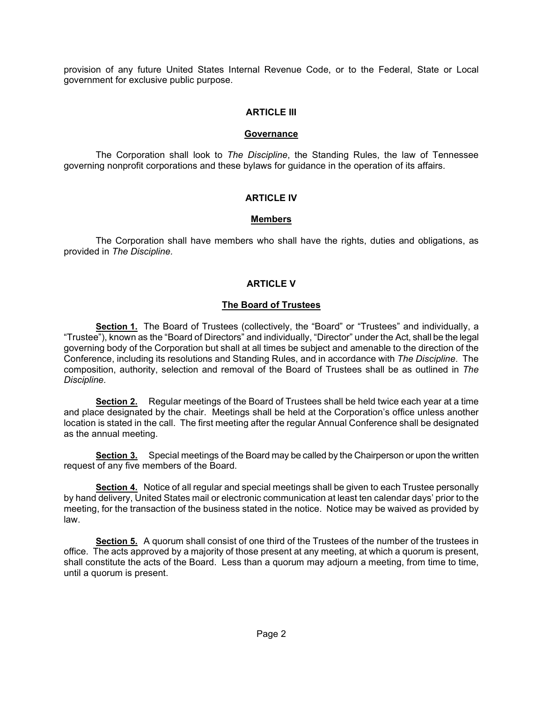provision of any future United States Internal Revenue Code, or to the Federal, State or Local government for exclusive public purpose.

### **ARTICLE III**

#### **Governance**

The Corporation shall look to *The Discipline*, the Standing Rules, the law of Tennessee governing nonprofit corporations and these bylaws for guidance in the operation of its affairs.

### **ARTICLE IV**

### **Members**

The Corporation shall have members who shall have the rights, duties and obligations, as provided in *The Discipline.*

## **ARTICLE V**

### **The Board of Trustees**

**Section 1.** The Board of Trustees (collectively, the "Board" or "Trustees" and individually, a "Trustee"), known as the "Board of Directors" and individually, "Director" under the Act, shall be the legal governing body of the Corporation but shall at all times be subject and amenable to the direction of the Conference, including its resolutions and Standing Rules, and in accordance with *The Discipline*. The composition, authority, selection and removal of the Board of Trustees shall be as outlined in *The Discipline.*

**Section 2.** Regular meetings of the Board of Trustees shall be held twice each year at a time and place designated by the chair. Meetings shall be held at the Corporation's office unless another location is stated in the call. The first meeting after the regular Annual Conference shall be designated as the annual meeting.

**Section 3.** Special meetings of the Board may be called by the Chairperson or upon the written request of any five members of the Board.

**Section 4.** Notice of all regular and special meetings shall be given to each Trustee personally by hand delivery, United States mail or electronic communication at least ten calendar days' prior to the meeting, for the transaction of the business stated in the notice. Notice may be waived as provided by law.

**Section 5.** A quorum shall consist of one third of the Trustees of the number of the trustees in office. The acts approved by a majority of those present at any meeting, at which a quorum is present, shall constitute the acts of the Board. Less than a quorum may adjourn a meeting, from time to time, until a quorum is present.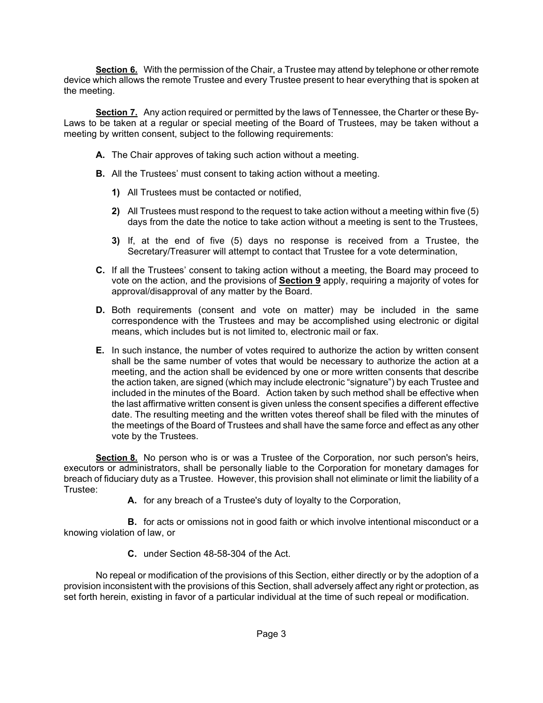**Section 6.** With the permission of the Chair, a Trustee may attend by telephone or other remote device which allows the remote Trustee and every Trustee present to hear everything that is spoken at the meeting.

**Section 7.** Any action required or permitted by the laws of Tennessee, the Charter or these By-Laws to be taken at a regular or special meeting of the Board of Trustees, may be taken without a meeting by written consent, subject to the following requirements:

- **A.** The Chair approves of taking such action without a meeting.
- **B.** All the Trustees' must consent to taking action without a meeting.
	- **1)** All Trustees must be contacted or notified,
	- **2)** All Trustees must respond to the request to take action without a meeting within five (5) days from the date the notice to take action without a meeting is sent to the Trustees,
	- **3)** If, at the end of five (5) days no response is received from a Trustee, the Secretary/Treasurer will attempt to contact that Trustee for a vote determination,
- **C.** If all the Trustees' consent to taking action without a meeting, the Board may proceed to vote on the action, and the provisions of **Section 9** apply, requiring a majority of votes for approval/disapproval of any matter by the Board.
- **D.** Both requirements (consent and vote on matter) may be included in the same correspondence with the Trustees and may be accomplished using electronic or digital means, which includes but is not limited to, electronic mail or fax.
- **E.** In such instance, the number of votes required to authorize the action by written consent shall be the same number of votes that would be necessary to authorize the action at a meeting, and the action shall be evidenced by one or more written consents that describe the action taken, are signed (which may include electronic "signature") by each Trustee and included in the minutes of the Board. Action taken by such method shall be effective when the last affirmative written consent is given unless the consent specifies a different effective date. The resulting meeting and the written votes thereof shall be filed with the minutes of the meetings of the Board of Trustees and shall have the same force and effect as any other vote by the Trustees.

**Section 8.** No person who is or was a Trustee of the Corporation, nor such person's heirs, executors or administrators, shall be personally liable to the Corporation for monetary damages for breach of fiduciary duty as a Trustee. However, this provision shall not eliminate or limit the liability of a Trustee:

**A.** for any breach of a Trustee's duty of loyalty to the Corporation,

**B.** for acts or omissions not in good faith or which involve intentional misconduct or a knowing violation of law, or

**C.** under Section 48-58-304 of the Act.

No repeal or modification of the provisions of this Section, either directly or by the adoption of a provision inconsistent with the provisions of this Section, shall adversely affect any right or protection, as set forth herein, existing in favor of a particular individual at the time of such repeal or modification.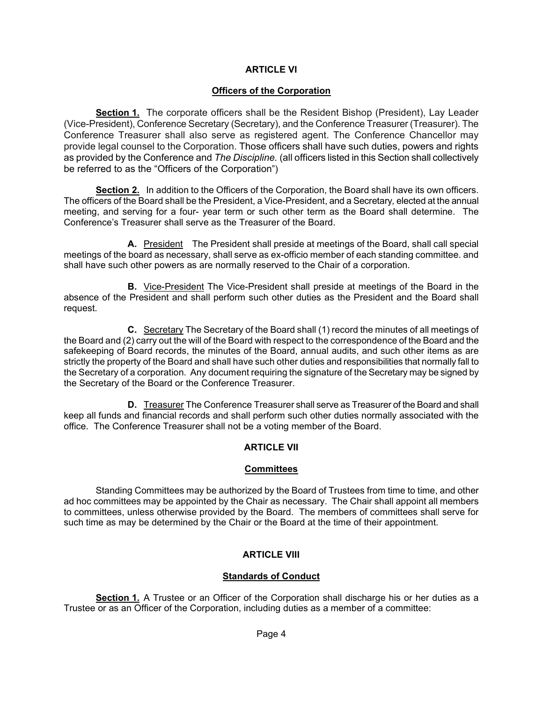### **ARTICLE VI**

### **Officers of the Corporation**

**Section 1.** The corporate officers shall be the Resident Bishop (President), Lay Leader (Vice-President), Conference Secretary (Secretary), and the Conference Treasurer (Treasurer). The Conference Treasurer shall also serve as registered agent. The Conference Chancellor may provide legal counsel to the Corporation. Those officers shall have such duties, powers and rights as provided by the Conference and *The Discipline.* (all officers listed in this Section shall collectively be referred to as the "Officers of the Corporation")

**Section 2.** In addition to the Officers of the Corporation, the Board shall have its own officers. The officers of the Board shall be the President, a Vice-President, and a Secretary*,* elected at the annual meeting, and serving for a four- year term or such other term as the Board shall determine. The Conference's Treasurer shall serve as the Treasurer of the Board.

**A.** President The President shall preside at meetings of the Board, shall call special meetings of the board as necessary, shall serve as ex-officio member of each standing committee. and shall have such other powers as are normally reserved to the Chair of a corporation.

**B.** Vice-President The Vice-President shall preside at meetings of the Board in the absence of the President and shall perform such other duties as the President and the Board shall request.

**C.** Secretary The Secretary of the Board shall (1) record the minutes of all meetings of the Board and (2) carry out the will of the Board with respect to the correspondence of the Board and the safekeeping of Board records, the minutes of the Board, annual audits, and such other items as are strictly the property of the Board and shall have such other duties and responsibilities that normally fall to the Secretary of a corporation. Any document requiring the signature of the Secretary may be signed by the Secretary of the Board or the Conference Treasurer.

**D.** Treasurer The Conference Treasurer shall serve as Treasurer of the Board and shall keep all funds and financial records and shall perform such other duties normally associated with the office. The Conference Treasurer shall not be a voting member of the Board.

### **ARTICLE VII**

#### **Committees**

Standing Committees may be authorized by the Board of Trustees from time to time, and other ad hoc committees may be appointed by the Chair as necessary. The Chair shall appoint all members to committees, unless otherwise provided by the Board. The members of committees shall serve for such time as may be determined by the Chair or the Board at the time of their appointment.

### **ARTICLE VIII**

### **Standards of Conduct**

**Section 1.** A Trustee or an Officer of the Corporation shall discharge his or her duties as a Trustee or as an Officer of the Corporation, including duties as a member of a committee: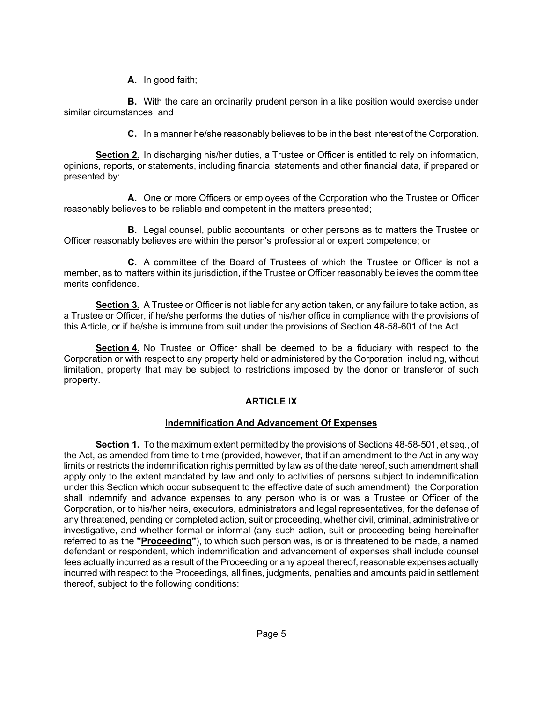**A.** In good faith;

**B.** With the care an ordinarily prudent person in a like position would exercise under similar circumstances; and

**C.** In a manner he/she reasonably believes to be in the best interest of the Corporation.

**Section 2.** In discharging his/her duties, a Trustee or Officer is entitled to rely on information, opinions, reports, or statements, including financial statements and other financial data, if prepared or presented by:

**A.** One or more Officers or employees of the Corporation who the Trustee or Officer reasonably believes to be reliable and competent in the matters presented;

**B.** Legal counsel, public accountants, or other persons as to matters the Trustee or Officer reasonably believes are within the person's professional or expert competence; or

**C.** A committee of the Board of Trustees of which the Trustee or Officer is not a member, as to matters within its jurisdiction, if the Trustee or Officer reasonably believes the committee merits confidence.

**Section 3.** A Trustee or Officer is not liable for any action taken, or any failure to take action, as a Trustee or Officer, if he/she performs the duties of his/her office in compliance with the provisions of this Article, or if he/she is immune from suit under the provisions of Section 48-58-601 of the Act.

**Section 4.** No Trustee or Officer shall be deemed to be a fiduciary with respect to the Corporation or with respect to any property held or administered by the Corporation, including, without limitation, property that may be subject to restrictions imposed by the donor or transferor of such property.

### **ARTICLE IX**

### **Indemnification And Advancement Of Expenses**

**Section 1.** To the maximum extent permitted by the provisions of Sections 48-58-501, et seq., of the Act, as amended from time to time (provided, however, that if an amendment to the Act in any way limits or restricts the indemnification rights permitted by law as of the date hereof, such amendment shall apply only to the extent mandated by law and only to activities of persons subject to indemnification under this Section which occur subsequent to the effective date of such amendment), the Corporation shall indemnify and advance expenses to any person who is or was a Trustee or Officer of the Corporation, or to his/her heirs, executors, administrators and legal representatives, for the defense of any threatened, pending or completed action, suit or proceeding, whether civil, criminal, administrative or investigative, and whether formal or informal (any such action, suit or proceeding being hereinafter referred to as the **"Proceeding"**), to which such person was, is or is threatened to be made, a named defendant or respondent, which indemnification and advancement of expenses shall include counsel fees actually incurred as a result of the Proceeding or any appeal thereof, reasonable expenses actually incurred with respect to the Proceedings, all fines, judgments, penalties and amounts paid in settlement thereof, subject to the following conditions: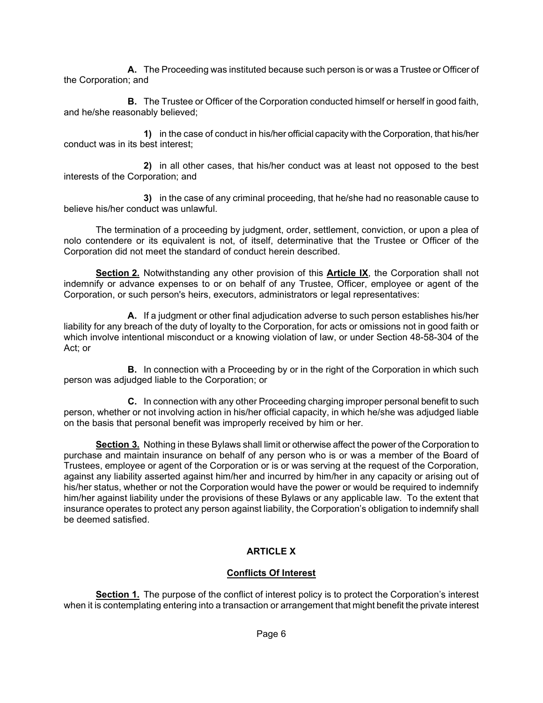**A.** The Proceeding was instituted because such person is or was a Trustee or Officer of the Corporation; and

**B.** The Trustee or Officer of the Corporation conducted himself or herself in good faith, and he/she reasonably believed;

**1)** in the case of conduct in his/her official capacity with the Corporation, that his/her conduct was in its best interest;

**2)** in all other cases, that his/her conduct was at least not opposed to the best interests of the Corporation; and

**3)** in the case of any criminal proceeding, that he/she had no reasonable cause to believe his/her conduct was unlawful.

The termination of a proceeding by judgment, order, settlement, conviction, or upon a plea of nolo contendere or its equivalent is not, of itself, determinative that the Trustee or Officer of the Corporation did not meet the standard of conduct herein described.

**Section 2.** Notwithstanding any other provision of this **Article IX**, the Corporation shall not indemnify or advance expenses to or on behalf of any Trustee, Officer, employee or agent of the Corporation, or such person's heirs, executors, administrators or legal representatives:

**A.** If a judgment or other final adjudication adverse to such person establishes his/her liability for any breach of the duty of loyalty to the Corporation, for acts or omissions not in good faith or which involve intentional misconduct or a knowing violation of law, or under Section 48-58-304 of the Act; or

**B.** In connection with a Proceeding by or in the right of the Corporation in which such person was adjudged liable to the Corporation; or

**C.** In connection with any other Proceeding charging improper personal benefit to such person, whether or not involving action in his/her official capacity, in which he/she was adjudged liable on the basis that personal benefit was improperly received by him or her.

**Section 3.** Nothing in these Bylaws shall limit or otherwise affect the power of the Corporation to purchase and maintain insurance on behalf of any person who is or was a member of the Board of Trustees, employee or agent of the Corporation or is or was serving at the request of the Corporation, against any liability asserted against him/her and incurred by him/her in any capacity or arising out of his/her status, whether or not the Corporation would have the power or would be required to indemnify him/her against liability under the provisions of these Bylaws or any applicable law. To the extent that insurance operates to protect any person against liability, the Corporation's obligation to indemnify shall be deemed satisfied.

# **ARTICLE X**

### **Conflicts Of Interest**

**Section 1.** The purpose of the conflict of interest policy is to protect the Corporation's interest when it is contemplating entering into a transaction or arrangement that might benefit the private interest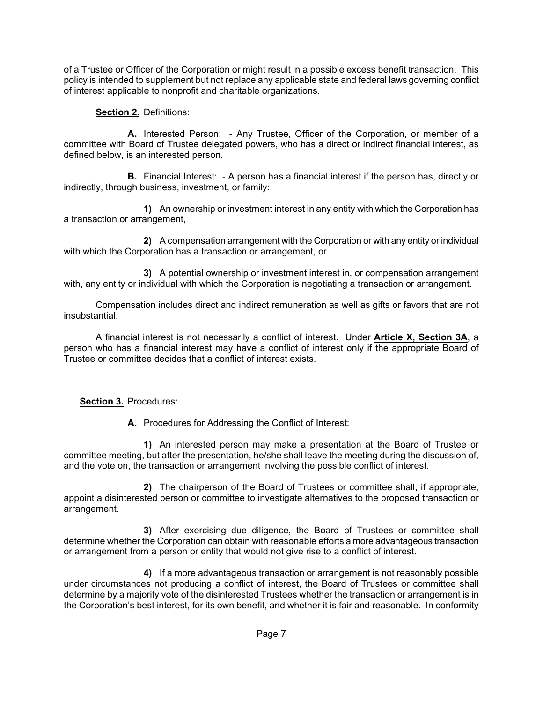of a Trustee or Officer of the Corporation or might result in a possible excess benefit transaction. This policy is intended to supplement but not replace any applicable state and federal laws governing conflict of interest applicable to nonprofit and charitable organizations.

# **Section 2.** Definitions:

**A.** Interested Person: - Any Trustee, Officer of the Corporation, or member of a committee with Board of Trustee delegated powers, who has a direct or indirect financial interest, as defined below, is an interested person.

**B.** Financial Interest: - A person has a financial interest if the person has, directly or indirectly, through business, investment, or family:

**1)** An ownership or investment interest in any entity with which the Corporation has a transaction or arrangement,

**2)** A compensation arrangement with the Corporation or with any entity or individual with which the Corporation has a transaction or arrangement, or

**3)** A potential ownership or investment interest in, or compensation arrangement with, any entity or individual with which the Corporation is negotiating a transaction or arrangement.

Compensation includes direct and indirect remuneration as well as gifts or favors that are not insubstantial.

A financial interest is not necessarily a conflict of interest. Under **Article X, Section 3A**, a person who has a financial interest may have a conflict of interest only if the appropriate Board of Trustee or committee decides that a conflict of interest exists.

# **Section 3.** Procedures:

**A.** Procedures for Addressing the Conflict of Interest:

**1)** An interested person may make a presentation at the Board of Trustee or committee meeting, but after the presentation, he/she shall leave the meeting during the discussion of, and the vote on, the transaction or arrangement involving the possible conflict of interest.

**2)** The chairperson of the Board of Trustees or committee shall, if appropriate, appoint a disinterested person or committee to investigate alternatives to the proposed transaction or arrangement.

**3)** After exercising due diligence, the Board of Trustees or committee shall determine whether the Corporation can obtain with reasonable efforts a more advantageous transaction or arrangement from a person or entity that would not give rise to a conflict of interest.

**4)** If a more advantageous transaction or arrangement is not reasonably possible under circumstances not producing a conflict of interest, the Board of Trustees or committee shall determine by a majority vote of the disinterested Trustees whether the transaction or arrangement is in the Corporation's best interest, for its own benefit, and whether it is fair and reasonable. In conformity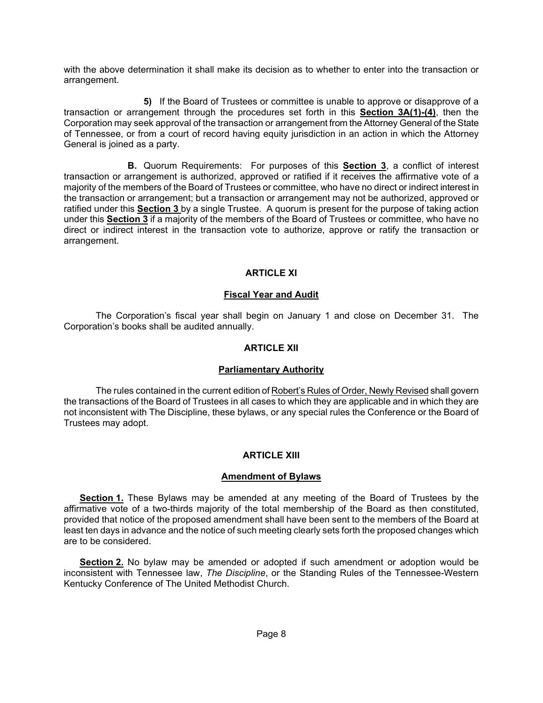with the above determination it shall make its decision as to whether to enter into the transaction or arrangement.

**5)** If the Board of Trustees or committee is unable to approve or disapprove of a transaction or arrangement through the procedures set forth in this **Section 3A(1)-(4)**, then the Corporation may seek approval of the transaction or arrangement from the Attorney General of the State of Tennessee, or from a court of record having equity jurisdiction in an action in which the Attorney General is joined as a party.

**B.** Quorum Requirements: For purposes of this **Section 3**, a conflict of interest transaction or arrangement is authorized, approved or ratified if it receives the affirmative vote of a majority of the members of the Board of Trustees or committee, who have no direct or indirect interest in the transaction or arrangement; but a transaction or arrangement may not be authorized, approved or ratified under this **Section 3** by a single Trustee. A quorum is present for the purpose of taking action under this **Section 3** if a majority of the members of the Board of Trustees or committee, who have no direct or indirect interest in the transaction vote to authorize, approve or ratify the transaction or arrangement.

# **ARTICLE XI**

### **Fiscal Year and Audit**

The Corporation's fiscal year shall begin on January 1 and close on December 31. The Corporation's books shall be audited annually.

#### **ARTICLE XII**

### **Parliamentary Authority**

The rules contained in the current edition of Robert's Rules of Order, Newly Revised shall govern the transactions of the Board of Trustees in all cases to which they are applicable and in which they are not inconsistent with The Discipline, these bylaws, or any special rules the Conference or the Board of Trustees may adopt.

### **ARTICLE XIII**

#### **Amendment of Bylaws**

**Section 1.** These Bylaws may be amended at any meeting of the Board of Trustees by the affirmative vote of a two-thirds majority of the total membership of the Board as then constituted, provided that notice of the proposed amendment shall have been sent to the members of the Board at least ten days in advance and the notice of such meeting clearly sets forth the proposed changes which are to be considered.

**Section 2.** No bylaw may be amended or adopted if such amendment or adoption would be inconsistent with Tennessee law, *The Discipline*, or the Standing Rules of the Tennessee-Western Kentucky Conference of The United Methodist Church.